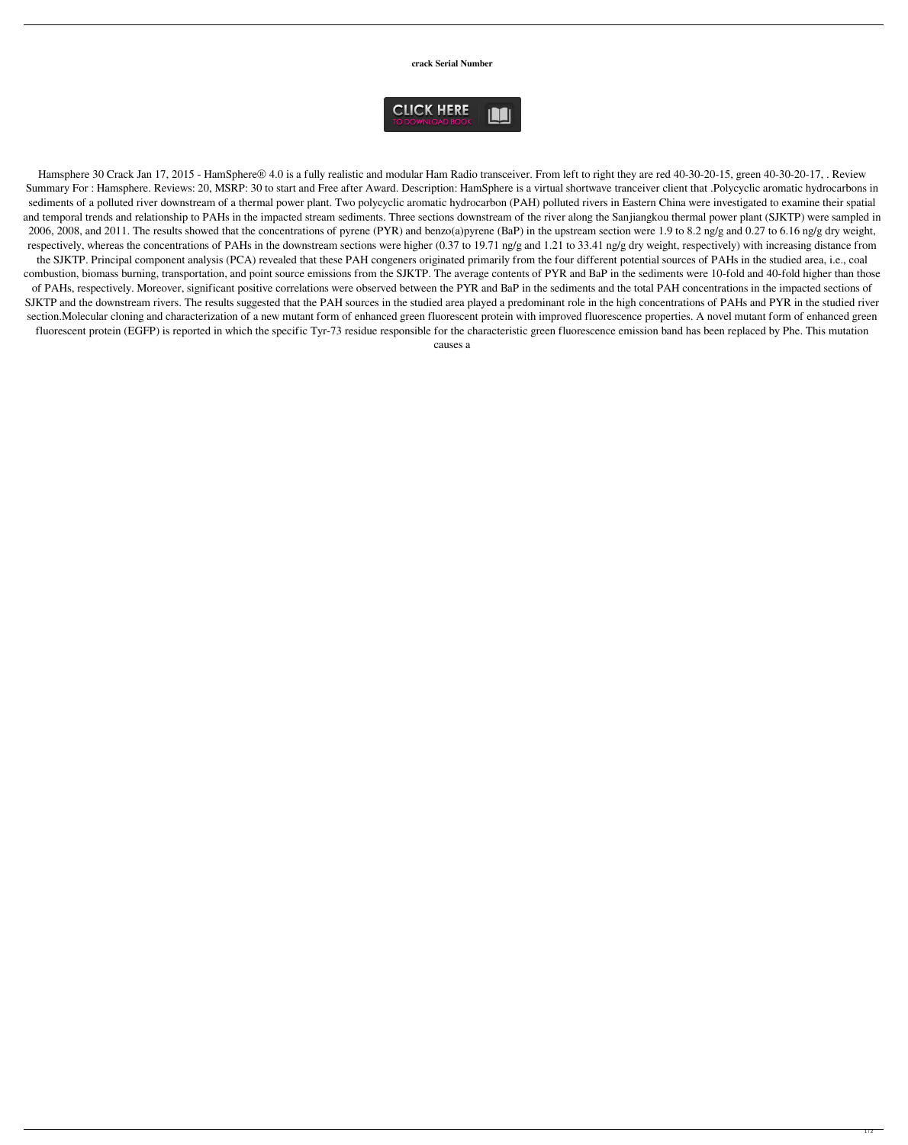**crack Serial Number**



Hamsphere 30 Crack Jan 17, 2015 - HamSphere® 4.0 is a fully realistic and modular Ham Radio transceiver. From left to right they are red 40-30-20-15, green 40-30-20-17, . Review Summary For : Hamsphere. Reviews: 20, MSRP: 30 to start and Free after Award. Description: HamSphere is a virtual shortwave tranceiver client that .Polycyclic aromatic hydrocarbons in sediments of a polluted river downstream of a thermal power plant. Two polycyclic aromatic hydrocarbon (PAH) polluted rivers in Eastern China were investigated to examine their spatial and temporal trends and relationship to PAHs in the impacted stream sediments. Three sections downstream of the river along the Sanjiangkou thermal power plant (SJKTP) were sampled in 2006, 2008, and 2011. The results showed that the concentrations of pyrene (PYR) and benzo(a)pyrene (BaP) in the upstream section were 1.9 to 8.2 ng/g and 0.27 to 6.16 ng/g dry weight, respectively, whereas the concentrations of PAHs in the downstream sections were higher (0.37 to 19.71 ng/g and 1.21 to 33.41 ng/g dry weight, respectively) with increasing distance from the SJKTP. Principal component analysis (PCA) revealed that these PAH congeners originated primarily from the four different potential sources of PAHs in the studied area, i.e., coal combustion, biomass burning, transportation, and point source emissions from the SJKTP. The average contents of PYR and BaP in the sediments were 10-fold and 40-fold higher than those of PAHs, respectively. Moreover, significant positive correlations were observed between the PYR and BaP in the sediments and the total PAH concentrations in the impacted sections of SJKTP and the downstream rivers. The results suggested that the PAH sources in the studied area played a predominant role in the high concentrations of PAHs and PYR in the studied river section.Molecular cloning and characterization of a new mutant form of enhanced green fluorescent protein with improved fluorescence properties. A novel mutant form of enhanced green fluorescent protein (EGFP) is reported in which the specific Tyr-73 residue responsible for the characteristic green fluorescence emission band has been replaced by Phe. This mutation

causes a

 $1/2$